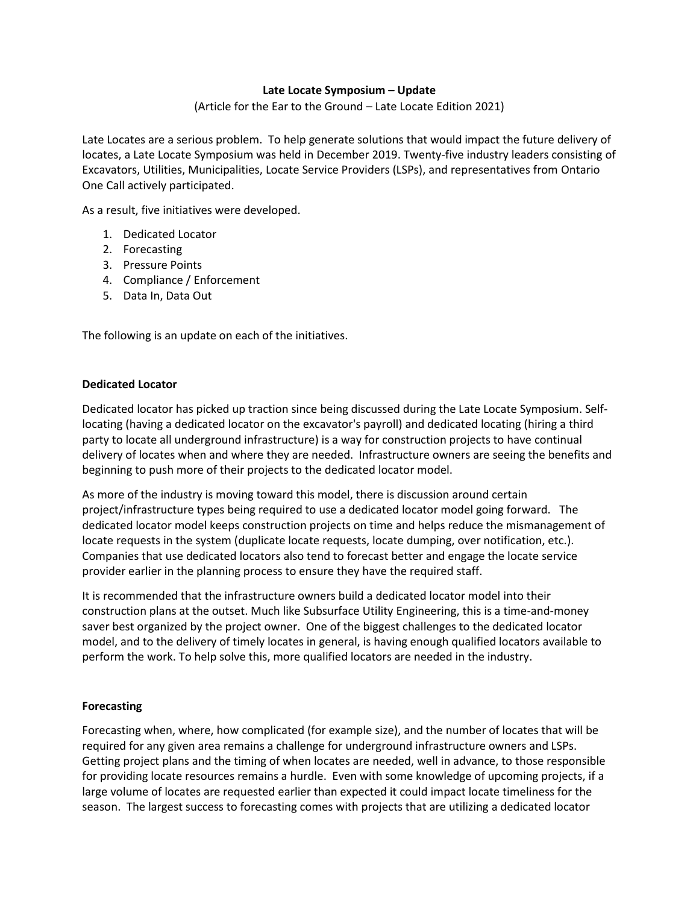# **Late Locate Symposium – Update**

(Article for the Ear to the Ground – Late Locate Edition 2021)

Late Locates are a serious problem. To help generate solutions that would impact the future delivery of locates, a Late Locate Symposium was held in December 2019. Twenty-five industry leaders consisting of Excavators, Utilities, Municipalities, Locate Service Providers (LSPs), and representatives from Ontario One Call actively participated.

As a result, five initiatives were developed.

- 1. Dedicated Locator
- 2. Forecasting
- 3. Pressure Points
- 4. Compliance / Enforcement
- 5. Data In, Data Out

The following is an update on each of the initiatives.

## **Dedicated Locator**

Dedicated locator has picked up traction since being discussed during the Late Locate Symposium. Selflocating (having a dedicated locator on the excavator's payroll) and dedicated locating (hiring a third party to locate all underground infrastructure) is a way for construction projects to have continual delivery of locates when and where they are needed. Infrastructure owners are seeing the benefits and beginning to push more of their projects to the dedicated locator model.

As more of the industry is moving toward this model, there is discussion around certain project/infrastructure types being required to use a dedicated locator model going forward. The dedicated locator model keeps construction projects on time and helps reduce the mismanagement of locate requests in the system (duplicate locate requests, locate dumping, over notification, etc.). Companies that use dedicated locators also tend to forecast better and engage the locate service provider earlier in the planning process to ensure they have the required staff.

It is recommended that the infrastructure owners build a dedicated locator model into their construction plans at the outset. Much like Subsurface Utility Engineering, this is a time-and-money saver best organized by the project owner. One of the biggest challenges to the dedicated locator model, and to the delivery of timely locates in general, is having enough qualified locators available to perform the work. To help solve this, more qualified locators are needed in the industry.

# **Forecasting**

Forecasting when, where, how complicated (for example size), and the number of locates that will be required for any given area remains a challenge for underground infrastructure owners and LSPs. Getting project plans and the timing of when locates are needed, well in advance, to those responsible for providing locate resources remains a hurdle. Even with some knowledge of upcoming projects, if a large volume of locates are requested earlier than expected it could impact locate timeliness for the season. The largest success to forecasting comes with projects that are utilizing a dedicated locator